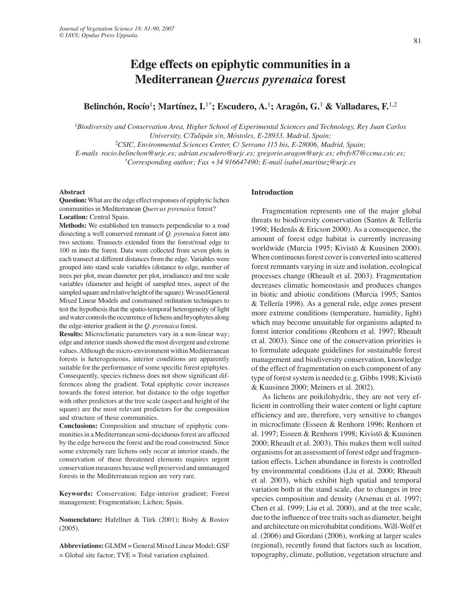# **Edge effects on epiphytic communities in a Mediterranean** *Quercus pyrenaica* **forest**

# **Belinchón, Rocío**1**; Martínez, I.**1\***; Escudero, A.**1**; Aragón, G.**1 **& Valladares, F.**1,2

<sup>1</sup>*Biodiversity and Conservation Area, Higher School of Experimental Sciences and Technology, Rey Juan Carlos University, C/Tulipán s/n, Móstoles, E-28933, Madrid, Spain;*

<sup>2</sup>*CSIC, Environmental Sciences Center, C/ Serrano 115 bis, E-28006, Madrid, Spain;*

*E-mails rocio.belinchon@urjc.es; adrian.escudero@urjc.es; gregorio.aragon@urjc.es; ebvfv87@ccma.csic.es;* \**Corresponding author; Fax +34 916647490; E-mail isabel.martinez@urjc.es*

#### **Abstract**

**Question:** What are the edge effect responses of epiphytic lichen communities in Mediterranean *Quercus pyrenaica* forest? **Location:** Central Spain.

**Methods:** We established ten transects perpendicular to a road dissecting a well conserved remnant of *Q. pyrenaica* forest into two sections. Transects extended from the forest/road edge to 100 m into the forest. Data were collected from seven plots in each transect at different distances from the edge. Variables were grouped into stand scale variables (distance to edge, number of trees per plot, mean diameter per plot, irradiance) and tree scale variables (diameter and height of sampled trees, aspect of the sampled square and relative height of the square). We used General Mixed Linear Models and constrained ordination techniques to test the hypothesis that the spatio-temporal heterogeneity of light and water controls the occurrence of lichens and bryophytes along the edge-interior gradient in the *Q. pyrenaica* forest.

**Results:** Microclimatic parameters vary in a non-linear way; edge and interior stands showed the most divergent and extreme values. Although the micro-environment within Mediterranean forests is heterogeneous, interior conditions are apparently suitable for the performance of some specific forest epiphytes. Consequently, species richness does not show significant differences along the gradient. Total epiphytic cover increases towards the forest interior, but distance to the edge together with other predictors at the tree scale (aspect and height of the square) are the most relevant predictors for the composition and structure of these communities.

**Conclusions:** Composition and structure of epiphytic communities in a Mediterranean semi-deciduous forest are affected by the edge between the forest and the road constructed. Since some extremely rare lichens only occur at interior stands, the conservation of these threatened elements requires urgent conservation measures because well preserved and unmanaged forests in the Mediterranean region are very rare.

**Keywords:** Conservation; Edge-interior gradient; Forest management; Fragmentation; Lichen; Spain.

**Nomenclature:** Hafellner & Türk (2001); Bisby & Rostov (2005).

**Abbreviations:** GLMM = General Mixed Linear Model; GSF = Global site factor; TVE = Total variation explained.

#### **Introduction**

 Fragmentation represents one of the major global threats to biodiversity conservation (Santos & Tellería 1998; Hedenås & Ericson 2000). As a consequence, the amount of forest edge habitat is currently increasing worldwide (Murcia 1995; Kivistö & Kuusinen 2000). When continuous forest cover is converted into scattered forest remnants varying in size and isolation, ecological processes change (Rheault et al. 2003). Fragmentation decreases climatic homeostasis and produces changes in biotic and abiotic conditions (Murcia 1995; Santos & Tellería 1998). As a general rule, edge zones present more extreme conditions (temperature, humidity, light) which may become unsuitable for organisms adapted to forest interior conditions (Renhorn et al. 1997; Rheault et al. 2003). Since one of the conservation priorities is to formulate adequate guidelines for sustainable forest management and biodiversity conservation, knowledge of the effect of fragmentation on each component of any type of forest system is needed (e.g. Gibbs 1998; Kivistö & Kuusinen 2000; Meiners et al. 2002).

 As lichens are poikilohydric, they are not very efficient in controlling their water content or light capture efficiency and are, therefore, very sensitive to changes in microclimate (Esseen & Renhorn 1996; Renhorn et al. 1997; Esseen & Renhorn 1998; Kivistö & Kuusinen 2000; Rheault et al. 2003). This makes them well suited organisms for an assessment of forest edge and fragmentation effects. Lichen abundance in forests is controlled by environmental conditions (Liu et al. 2000; Rheault et al. 2003), which exhibit high spatial and temporal variation both at the stand scale, due to changes in tree species composition and density (Arsenau et al. 1997; Chen et al. 1999; Liu et al. 2000), and at the tree scale, due to the influence of tree traits such as diameter, height and architecture on microhabitat conditions. Will-Wolf et al. (2006) and Giordani (2006), working at larger scales (regional), recently found that factors such as location, topography, climate, pollution, vegetation structure and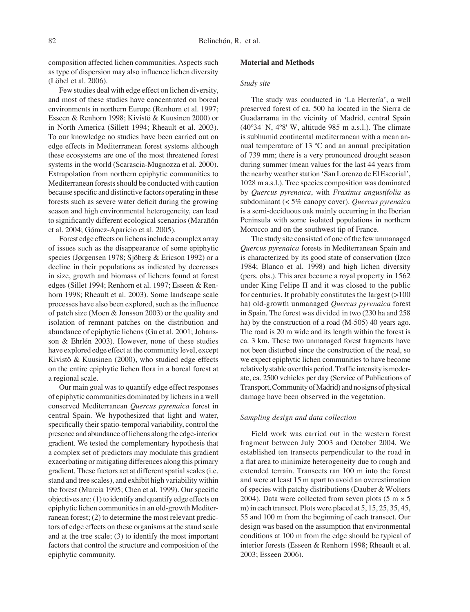composition affected lichen communities. Aspects such as type of dispersion may also influence lichen diversity (Löbel et al. 2006).

 Few studies deal with edge effect on lichen diversity, and most of these studies have concentrated on boreal environments in northern Europe (Renhorn et al. 1997; Esseen & Renhorn 1998; Kivistö & Kuusinen 2000) or in North America (Sillett 1994; Rheault et al. 2003). To our knowledge no studies have been carried out on edge effects in Mediterranean forest systems although these ecosystems are one of the most threatened forest systems in the world (Scarascia-Mugnozza et al. 2000). Extrapolation from northern epiphytic communities to Mediterranean forests should be conducted with caution because specific and distinctive factors operating in these forests such as severe water deficit during the growing season and high environmental heterogeneity, can lead to significantly different ecological scenarios (Marañón et al. 2004; Gómez-Aparicio et al. 2005).

 Forest edge effects on lichens include a complex array of issues such as the disappearance of some epiphytic species (Jørgensen 1978; Sjöberg & Ericson 1992) or a decline in their populations as indicated by decreases in size, growth and biomass of lichens found at forest edges (Sillet 1994; Renhorn et al. 1997; Esseen & Renhorn 1998; Rheault et al*.* 2003). Some landscape scale processes have also been explored, such as the influence of patch size (Moen & Jonsson 2003) or the quality and isolation of remnant patches on the distribution and abundance of epiphytic lichens (Gu et al. 2001; Johansson & Ehrlén 2003). However, none of these studies have explored edge effect at the community level, except Kivistö & Kuusinen (2000), who studied edge effects on the entire epiphytic lichen flora in a boreal forest at a regional scale.

 Our main goal was to quantify edge effect responses of epiphytic communities dominated by lichens in a well conserved Mediterranean *Quercus pyrenaica* forest in central Spain. We hypothesized that light and water, specifically their spatio-temporal variability, control the presence and abundance of lichens along the edge-interior gradient. We tested the complementary hypothesis that a complex set of predictors may modulate this gradient exacerbating or mitigating differences along this primary gradient. These factors act at different spatial scales (i.e. stand and tree scales), and exhibit high variability within the forest (Murcia 1995; Chen et al. 1999). Our specific objectives are: (1) to identify and quantify edge effects on epiphytic lichen communities in an old-growth Mediterranean forest; (2) to determine the most relevant predictors of edge effects on these organisms at the stand scale and at the tree scale; (3) to identify the most important factors that control the structure and composition of the epiphytic community.

#### **Material and Methods**

#### *Study site*

 The study was conducted in ʻLa Herrería', a well preserved forest of ca. 500 ha located in the Sierra de Guadarrama in the vicinity of Madrid, central Spain (40º34' N, 4º8' W, altitude 985 m a.s.l.). The climate is subhumid continental mediterranean with a mean annual temperature of 13 ºC and an annual precipitation of 739 mm; there is a very pronounced drought season during summer (mean values for the last 44 years from the nearby weather station ʻSan Lorenzo de El Escorial', 1028 m a.s.l.). Tree species composition was dominated by *Quercus pyrenaica*, with *Fraxinus angustifolia* as subdominant (< 5% canopy cover). *Quercus pyrenaica* is a semi-deciduous oak mainly occurring in the Iberian Peninsula with some isolated populations in northern Morocco and on the southwest tip of France.

 The study site consisted of one of the few unmanaged *Quercus pyrenaica* forests in Mediterranean Spain and is characterized by its good state of conservation (Izco 1984; Blanco et al. 1998) and high lichen diversity (pers. obs.). This area became a royal property in 1562 under King Felipe II and it was closed to the public for centuries. It probably constitutes the largest  $(>100$ ha) old-growth unmanaged *Quercus pyrenaica* forest in Spain. The forest was divided in two (230 ha and 258 ha) by the construction of a road (M-505) 40 years ago. The road is 20 m wide and its length within the forest is ca. 3 km. These two unmanaged forest fragments have not been disturbed since the construction of the road, so we expect epiphytic lichen communities to have become relatively stable over this period. Traffic intensity is moderate, ca. 2500 vehicles per day (Service of Publications of Transport, Community of Madrid) and no signs of physical damage have been observed in the vegetation.

#### *Sampling design and data collection*

 Field work was carried out in the western forest fragment between July 2003 and October 2004. We established ten transects perpendicular to the road in a flat area to minimize heterogeneity due to rough and extended terrain. Transects ran 100 m into the forest and were at least 15 m apart to avoid an overestimation of species with patchy distributions (Dauber & Wolters 2004). Data were collected from seven plots  $(5 \text{ m} \times 5)$ m) in each transect. Plots were placed at 5, 15, 25, 35, 45, 55 and 100 m from the beginning of each transect. Our design was based on the assumption that environmental conditions at 100 m from the edge should be typical of interior forests (Esseen & Renhorn 1998; Rheault et al. 2003; Esseen 2006).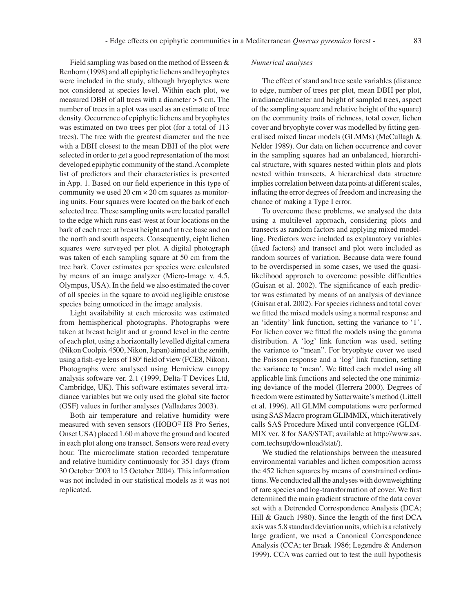Field sampling was based on the method of Esseen  $\&$ Renhorn (1998) and all epiphytic lichens and bryophytes were included in the study, although bryophytes were not considered at species level. Within each plot, we measured DBH of all trees with a diameter > 5 cm. The number of trees in a plot was used as an estimate of tree density. Occurrence of epiphytic lichens and bryophytes was estimated on two trees per plot (for a total of 113 trees). The tree with the greatest diameter and the tree with a DBH closest to the mean DBH of the plot were selected in order to get a good representation of the most developed epiphytic community of the stand. A complete list of predictors and their characteristics is presented in App. 1. Based on our field experience in this type of community we used 20 cm  $\times$  20 cm squares as monitoring units. Four squares were located on the bark of each selected tree. These sampling units were located parallel to the edge which runs east-west at four locations on the bark of each tree: at breast height and at tree base and on the north and south aspects. Consequently, eight lichen squares were surveyed per plot. A digital photograph was taken of each sampling square at 50 cm from the tree bark. Cover estimates per species were calculated by means of an image analyzer (Micro-Image v. 4.5, Olympus, USA). In the field we also estimated the cover of all species in the square to avoid negligible crustose species being unnoticed in the image analysis.

 Light availability at each microsite was estimated from hemispherical photographs. Photographs were taken at breast height and at ground level in the centre of each plot, using a horizontally levelled digital camera (Nikon Coolpix 4500, Nikon, Japan) aimed at the zenith, using a fish-eye lens of 180º field of view (FCE8, Nikon). Photographs were analysed using Hemiview canopy analysis software ver. 2.1 (1999, Delta-T Devices Ltd, Cambridge, UK). This software estimates several irradiance variables but we only used the global site factor (GSF) values in further analyses (Valladares 2003).

 Both air temperature and relative humidity were measured with seven sensors (HOBO® H8 Pro Series, Onset USA) placed 1.60 m above the ground and located in each plot along one transect. Sensors were read every hour. The microclimate station recorded temperature and relative humidity continuously for 351 days (from 30 October 2003 to 15 October 2004). This information was not included in our statistical models as it was not replicated.

### *Numerical analyses*

 The effect of stand and tree scale variables (distance to edge, number of trees per plot, mean DBH per plot, irradiance/diameter and height of sampled trees, aspect of the sampling square and relative height of the square) on the community traits of richness, total cover, lichen cover and bryophyte cover was modelled by fitting generalised mixed linear models (GLMMs) (McCullagh & Nelder 1989). Our data on lichen occurrence and cover in the sampling squares had an unbalanced, hierarchical structure, with squares nested within plots and plots nested within transects. A hierarchical data structure implies correlation between data points at different scales, inflating the error degrees of freedom and increasing the chance of making a Type I error.

 To overcome these problems, we analysed the data using a multilevel approach, considering plots and transects as random factors and applying mixed modelling. Predictors were included as explanatory variables (fixed factors) and transect and plot were included as random sources of variation. Because data were found to be overdispersed in some cases, we used the quasilikelihood approach to overcome possible difficulties (Guisan et al. 2002). The significance of each predictor was estimated by means of an analysis of deviance (Guisan et al. 2002). For species richness and total cover we fitted the mixed models using a normal response and an ʻidentity' link function, setting the variance to ʻ1'. For lichen cover we fitted the models using the gamma distribution. A ʻlog' link function was used, setting the variance to "mean". For bryophyte cover we used the Poisson response and a ʻlog' link function, setting the variance to ʻmean'. We fitted each model using all applicable link functions and selected the one minimizing deviance of the model (Herrera 2000). Degrees of freedom were estimated by Satterwaite's method (Littell et al. 1996). All GLMM computations were performed using SAS Macro program GLIMMIX, which iteratively calls SAS Procedure Mixed until convergence (GLIM-MIX ver. 8 for SAS/STAT; available at http://www.sas. com.techsup/download/stat/).

 We studied the relationships between the measured environmental variables and lichen composition across the 452 lichen squares by means of constrained ordinations. We conducted all the analyses with downweighting of rare species and log-transformation of cover. We first determined the main gradient structure of the data cover set with a Detrended Correspondence Analysis (DCA; Hill & Gauch 1980). Since the length of the first DCA axis was 5.8 standard deviation units, which is a relatively large gradient, we used a Canonical Correspondence Analysis (CCA; ter Braak 1986; Legendre & Anderson 1999). CCA was carried out to test the null hypothesis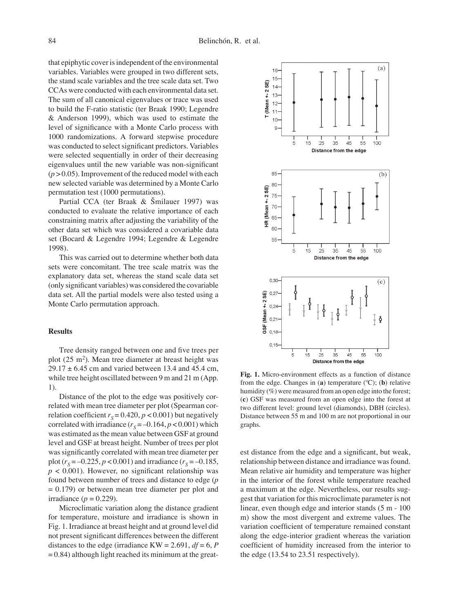that epiphytic cover is independent of the environmental variables. Variables were grouped in two different sets, the stand scale variables and the tree scale data set. Two CCAs were conducted with each environmental data set. The sum of all canonical eigenvalues or trace was used to build the F-ratio statistic (ter Braak 1990; Legendre & Anderson 1999), which was used to estimate the level of significance with a Monte Carlo process with 1000 randomizations. A forward stepwise procedure was conducted to select significant predictors. Variables were selected sequentially in order of their decreasing eigenvalues until the new variable was non-significant  $(p > 0.05)$ . Improvement of the reduced model with each new selected variable was determined by a Monte Carlo permutation test (1000 permutations).

 Partial CCA (ter Braak & Šmilauer 1997) was conducted to evaluate the relative importance of each constraining matrix after adjusting the variability of the other data set which was considered a covariable data set (Bocard & Legendre 1994; Legendre & Legendre 1998).

 This was carried out to determine whether both data sets were concomitant. The tree scale matrix was the explanatory data set, whereas the stand scale data set (only significant variables) was considered the covariable data set. All the partial models were also tested using a Monte Carlo permutation approach.

#### **Results**

 Tree density ranged between one and five trees per plot  $(25 \text{ m}^2)$ . Mean tree diameter at breast height was  $29.17 \pm 6.45$  cm and varied between 13.4 and 45.4 cm, while tree height oscillated between 9 m and 21 m (App. 1).

 Distance of the plot to the edge was positively correlated with mean tree diameter per plot (Spearman correlation coefficient  $r_s = 0.420$ ,  $p < 0.001$ ) but negatively correlated with irradiance  $(r<sub>S</sub> = -0.164, p < 0.001)$  which was estimated as the mean value between GSF at ground level and GSF at breast height. Number of trees per plot was significantly correlated with mean tree diameter per plot ( $r_s = -0.225$ ,  $p < 0.001$ ) and irradiance ( $r_s = -0.185$ ,  $p < 0.001$ ). However, no significant relationship was found between number of trees and distance to edge (*p*  = 0.179) or between mean tree diameter per plot and irradiance  $(p = 0.229)$ .

 Microclimatic variation along the distance gradient for temperature, moisture and irradiance is shown in Fig. 1. Irradiance at breast height and at ground level did not present significant differences between the different distances to the edge (irradiance  $KW = 2.691, df = 6, P$  $= 0.84$ ) although light reached its minimum at the great-



**Fig. 1.** Micro-environment effects as a function of distance from the edge. Changes in (**a**) temperature (ºC); (**b**) relative humidity (%) were measured from an open edge into the forest; (**c**) GSF was measured from an open edge into the forest at two different level: ground level (diamonds), DBH (circles). Distance between 55 m and 100 m are not proportional in our graphs.

est distance from the edge and a significant, but weak, relationship between distance and irradiance was found. Mean relative air humidity and temperature was higher in the interior of the forest while temperature reached a maximum at the edge. Nevertheless, our results suggest that variation for this microclimate parameter is not linear, even though edge and interior stands (5 m - 100 m) show the most divergent and extreme values. The variation coefficient of temperature remained constant along the edge-interior gradient whereas the variation coefficient of humidity increased from the interior to the edge (13.54 to 23.51 respectively).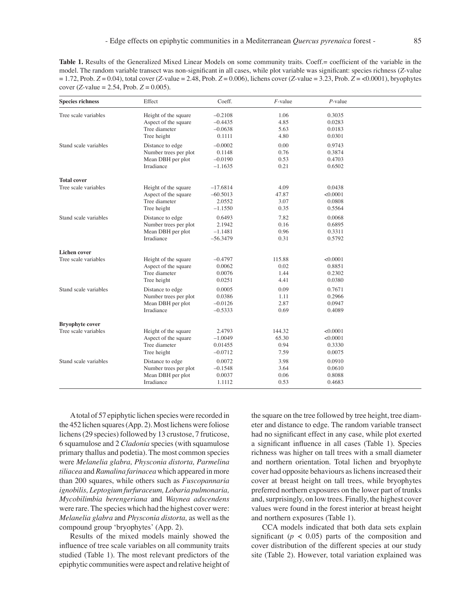Table 1. Results of the Generalized Mixed Linear Models on some community traits. Coeff.= coefficient of the variable in the model. The random variable transect was non-significant in all cases, while plot variable was significant: species richness (*Z*-value = 1.72, Prob. *Z* = 0.04), total cover (*Z*-value = 2.48, Prob. *Z* = 0.006), lichens cover (*Z*-value = 3.23, Prob. *Z* = <0.0001), bryophytes cover (*Z*-value = 2.54, Prob.  $Z = 0.005$ ).

| <b>Species richness</b> | Effect                                                                       | Coeff.                                          | $F$ -value                      | $P$ -value                               |  |
|-------------------------|------------------------------------------------------------------------------|-------------------------------------------------|---------------------------------|------------------------------------------|--|
| Tree scale variables    | Height of the square<br>Aspect of the square<br>Tree diameter<br>Tree height | $-0.2108$<br>$-0.4435$<br>$-0.0638$<br>0.1111   | 1.06<br>4.85<br>5.63<br>4.80    | 0.3035<br>0.0283<br>0.0183<br>0.0301     |  |
| Stand scale variables   | Distance to edge<br>Number trees per plot<br>Mean DBH per plot<br>Irradiance | $-0.0002$<br>0.1148<br>$-0.0190$<br>$-1.1635$   | 0.00<br>0.76<br>0.53<br>0.21    | 0.9743<br>0.3874<br>0.4703<br>0.6502     |  |
| <b>Total cover</b>      |                                                                              |                                                 |                                 |                                          |  |
| Tree scale variables    | Height of the square<br>Aspect of the square<br>Tree diameter<br>Tree height | $-17.6814$<br>$-60.5013$<br>2.0552<br>$-1.1550$ | 4.09<br>47.87<br>3.07<br>0.35   | 0.0438<br>< 0.0001<br>0.0808<br>0.5564   |  |
| Stand scale variables   | Distance to edge<br>Number trees per plot<br>Mean DBH per plot<br>Irradiance | 0.6493<br>2.1942<br>$-1.1481$<br>$-56.3479$     | 7.82<br>0.16<br>0.96<br>0.31    | 0.0068<br>0.6895<br>0.3311<br>0.5792     |  |
| Lichen cover            |                                                                              |                                                 |                                 |                                          |  |
| Tree scale variables    | Height of the square<br>Aspect of the square<br>Tree diameter<br>Tree height | $-0.4797$<br>0.0062<br>0.0076<br>0.0251         | 115.88<br>0.02<br>1.44<br>4.41  | < 0.0001<br>0.8851<br>0.2302<br>0.0380   |  |
| Stand scale variables   | Distance to edge<br>Number trees per plot<br>Mean DBH per plot<br>Irradiance | 0.0005<br>0.0386<br>$-0.0126$<br>$-0.5333$      | 0.09<br>1.11<br>2.87<br>0.69    | 0.7671<br>0.2966<br>0.0947<br>0.4089     |  |
| <b>Bryophyte</b> cover  |                                                                              |                                                 |                                 |                                          |  |
| Tree scale variables    | Height of the square<br>Aspect of the square<br>Tree diameter<br>Tree height | 2.4793<br>$-1.0049$<br>0.01455<br>$-0.0712$     | 144.32<br>65.30<br>0.94<br>7.59 | < 0.0001<br>< 0.0001<br>0.3330<br>0.0075 |  |
| Stand scale variables   | Distance to edge<br>Number trees per plot<br>Mean DBH per plot<br>Irradiance | 0.0072<br>$-0.1548$<br>0.0037<br>1.1112         | 3.98<br>3.64<br>0.06<br>0.53    | 0.0910<br>0.0610<br>0.8088<br>0.4683     |  |

 A total of 57 epiphytic lichen species were recorded in the 452 lichen squares (App. 2). Most lichens were foliose lichens (29 species) followed by 13 crustose, 7 fruticose, 6 squamulose and 2 *Cladonia* species (with squamulose primary thallus and podetia). The most common species were *Melanelia glabra, Physconia distorta, Parmelina tiliacea* and *Ramalina farinacea* which appeared in more than 200 squares, while others such as *Fuscopannaria ignobilis, Leptogium furfuraceum, Lobaria pulmonaria, Mycobilimbia berengeriana* and *Waynea adscendens* were rare. The species which had the highest cover were: *Melanelia glabra* and *Physconia distorta,* as well as the compound group ʻbryophytes' (App. 2).

 Results of the mixed models mainly showed the influence of tree scale variables on all community traits studied (Table 1). The most relevant predictors of the epiphytic communities were aspect and relative height of

the square on the tree followed by tree height, tree diameter and distance to edge. The random variable transect had no significant effect in any case, while plot exerted a significant influence in all cases (Table 1). Species richness was higher on tall trees with a small diameter and northern orientation. Total lichen and bryophyte cover had opposite behaviours as lichens increased their cover at breast height on tall trees, while bryophytes preferred northern exposures on the lower part of trunks and, surprisingly, on low trees. Finally, the highest cover values were found in the forest interior at breast height and northern exposures (Table 1).

 CCA models indicated that both data sets explain significant  $(p < 0.05)$  parts of the composition and cover distribution of the different species at our study site (Table 2). However, total variation explained was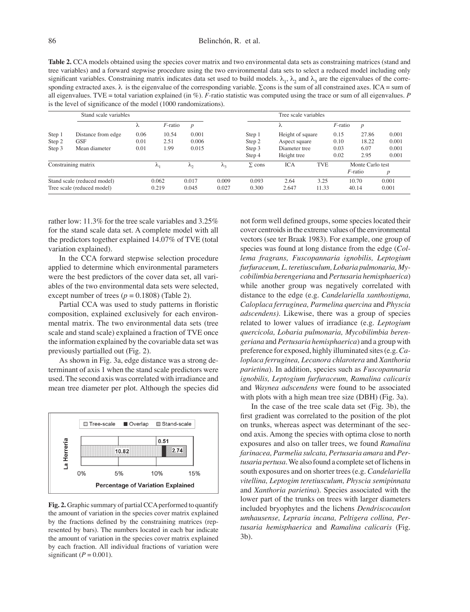#### 86 Belinchón, R. et al.

Table 2. CCA models obtained using the species cover matrix and two environmental data sets as constraining matrices (stand and tree variables) and a forward stepwise procedure using the two environmental data sets to select a reduced model including only significant variables. Constraining matrix indicates data set used to build models.  $\lambda_1$ ,  $\lambda_2$  and  $\lambda_3$  are the eigenvalues of the corresponding extracted axes.  $\lambda$  is the eigenvalue of the corresponding variable. ∑cons is the sum of all constrained axes. ICA = sum of all eigenvalues. TVE = total variation explained (in %). *F*-ratio statistic was computed using the trace or sum of all eigenvalues. *P*  is the level of significance of the model (1000 randomizations).

|                     | Stand scale variables       |      |               |                  |                 |               | Tree scale variables |            |            |                  |                  |
|---------------------|-----------------------------|------|---------------|------------------|-----------------|---------------|----------------------|------------|------------|------------------|------------------|
|                     |                             | Λ    | F-ratio       | $\boldsymbol{D}$ |                 |               | Λ                    |            | $F$ -ratio | $\boldsymbol{D}$ |                  |
| Step 1              | Distance from edge          | 0.06 | 10.54         | 0.001            |                 | Step 1        | Height of square     |            | 0.15       | 27.86            | 0.001            |
| Step 2              | <b>GSF</b>                  | 0.01 | 2.51          | 0.006            |                 | Step 2        | Aspect square        |            | 0.10       | 18.22            | 0.001            |
| Step 3              | Mean diameter               | 0.01 | 1.99          | 0.015            |                 | Step 3        | Diameter tree        |            | 0.03       | 6.07             | 0.001            |
|                     |                             |      |               |                  |                 | Step 4        | Height tree          |            | 0.02       | 2.95             | 0.001            |
| Constraining matrix |                             |      | $\Lambda_{1}$ | $\sim$           | $\mathcal{N}_3$ | $\Sigma$ cons | <b>ICA</b>           | <b>TVE</b> |            | Monte Carlo test |                  |
|                     |                             |      |               |                  |                 |               |                      |            |            | $F$ -ratio       | $\boldsymbol{p}$ |
|                     | Stand scale (reduced model) |      | 0.062         | 0.017            | 0.009           | 0.093         | 2.64                 | 3.25       |            | 10.70            | 0.001            |
|                     | Tree scale (reduced model)  |      | 0.219         | 0.045            | 0.027           | 0.300         | 2.647                | 11.33      |            | 40.14            | 0.001            |

rather low: 11.3% for the tree scale variables and 3.25% for the stand scale data set. A complete model with all the predictors together explained 14.07% of TVE (total variation explained).

 In the CCA forward stepwise selection procedure applied to determine which environmental parameters were the best predictors of the cover data set, all variables of the two environmental data sets were selected, except number of trees  $(p = 0.1808)$  (Table 2).

 Partial CCA was used to study patterns in floristic composition, explained exclusively for each environmental matrix. The two environmental data sets (tree scale and stand scale) explained a fraction of TVE once the information explained by the covariable data set was previously partialled out (Fig. 2).

 As shown in Fig. 3a, edge distance was a strong determinant of axis 1 when the stand scale predictors were used. The second axis was correlated with irradiance and mean tree diameter per plot. Although the species did



**Fig. 2.** Graphic summary of partial CCA performed to quantify the amount of variation in the species cover matrix explained by the fractions defined by the constraining matrices (represented by bars). The numbers located in each bar indicate the amount of variation in the species cover matrix explained by each fraction. All individual fractions of variation were significant  $(P = 0.001)$ .

not form well defined groups, some species located their cover centroids in the extreme values of the environmental vectors (see ter Braak 1983). For example, one group of species was found at long distance from the edge (*Collema fragrans, Fuscopannaria ignobilis, Leptogium furfuraceum, L. teretiusculum, Lobaria pulmonaria, Mycobilimbia berengeriana* and *Pertusaria hemisphaerica*) while another group was negatively correlated with distance to the edge (e.g. *Candelariella xanthostigma, Caloplaca ferruginea, Parmelina quercina* and *Physcia adscendens)*. Likewise, there was a group of species related to lower values of irradiance (e.g. *Leptogium quercicola, Lobaria pulmonaria, Mycobilimbia berengeriana* and *Pertusaria hemisphaerica*) and a group with preference for exposed, highly illuminated sites (e.g. *Caloplaca ferruginea, Lecanora chlarotera* and *Xanthoria parietina*). In addition, species such as *Fuscopannaria ignobilis, Leptogium furfuraceum, Ramalina calicaris* and *Waynea adscendens* were found to be associated with plots with a high mean tree size (DBH) (Fig. 3a).

 In the case of the tree scale data set (Fig. 3b), the first gradient was correlated to the position of the plot on trunks, whereas aspect was determinant of the second axis. Among the species with optima close to north exposures and also on taller trees, we found *Ramalina farinacea, Parmelia sulcata, Pertusaria amara* and *Pertusaria pertusa.* We also found a complete set of lichens in south exposures and on shorter trees (e.g. *Candelariella vitellina, Leptogim teretiusculum, Physcia semipinnata*  and *Xanthoria parietina*). Species associated with the lower part of the trunks on trees with larger diameters included bryophytes and the lichens *Dendriscocaulon umhausense, Lepraria incana, Peltigera collina, Pertusaria hemisphaerica* and *Ramalina calicaris* (Fig. 3b).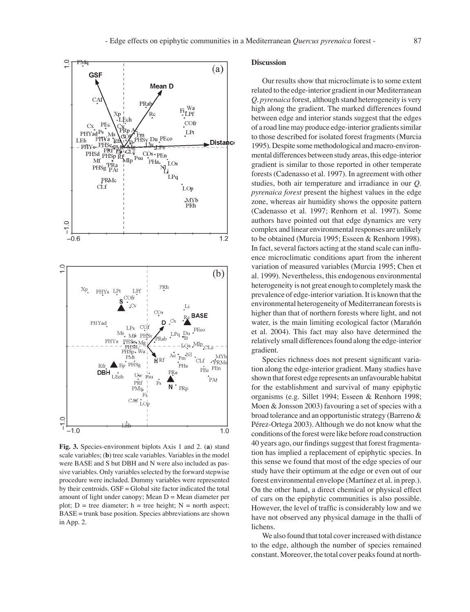

**Fig. 3.** Species-environment biplots Axis 1 and 2. (**a**) stand scale variables; (**b**) tree scale variables. Variables in the model were BASE and S but DBH and N were also included as passive variables. Only variables selected by the forward stepwise procedure were included. Dummy variables were represented by their centroids. GSF = Global site factor indicated the total amount of light under canopy; Mean  $D =$  Mean diameter per plot;  $D =$  tree diameter;  $h =$  tree height;  $N =$  north aspect; BASE = trunk base position. Species abbreviations are shown in App. 2.

## **Discussion**

 Our results show that microclimate is to some extent related to the edge-interior gradient in our Mediterranean *Q. pyrenaica* forest, although stand heterogeneity is very high along the gradient. The marked differences found between edge and interior stands suggest that the edges of a road line may produce edge-interior gradients similar to those described for isolated forest fragments (Murcia 1995). Despite some methodological and macro-environmental differences between study areas, this edge-interior gradient is similar to those reported in other temperate forests (Cadenasso et al. 1997). In agreement with other studies, both air temperature and irradiance in our *Q. pyrenaica forest* present the highest values in the edge zone, whereas air humidity shows the opposite pattern (Cadenasso et al. 1997; Renhorn et al*.* 1997). Some authors have pointed out that edge dynamics are very complex and linear environmental responses are unlikely to be obtained (Murcia 1995; Esseen & Renhorn 1998). In fact, several factors acting at the stand scale can influence microclimatic conditions apart from the inherent variation of measured variables (Murcia 1995; Chen et al. 1999). Nevertheless, this endogenous environmental heterogeneity is not great enough to completely mask the prevalence of edge-interior variation. It is known that the environmental heterogeneity of Mediterranean forests is higher than that of northern forests where light, and not water, is the main limiting ecological factor (Marañón et al. 2004). This fact may also have determined the relatively small differences found along the edge-interior gradient.

 Species richness does not present significant variation along the edge-interior gradient. Many studies have shown that forest edge represents an unfavourable habitat for the establishment and survival of many epiphytic organisms (e.g. Sillet 1994; Esseen & Renhorn 1998; Moen & Jonsson 2003) favouring a set of species with a broad tolerance and an opportunistic strategy (Barreno & Pérez-Ortega 2003). Although we do not know what the conditions of the forest were like before road construction 40 years ago, our findings suggest that forest fragmentation has implied a replacement of epiphytic species. In this sense we found that most of the edge species of our study have their optimum at the edge or even out of our forest environmental envelope (Martínez et al. in prep.). On the other hand, a direct chemical or physical effect of cars on the epiphytic communities is also possible. However, the level of traffic is considerably low and we have not observed any physical damage in the thalli of lichens.

 We also found that total cover increased with distance to the edge, although the number of species remained constant. Moreover, the total cover peaks found at north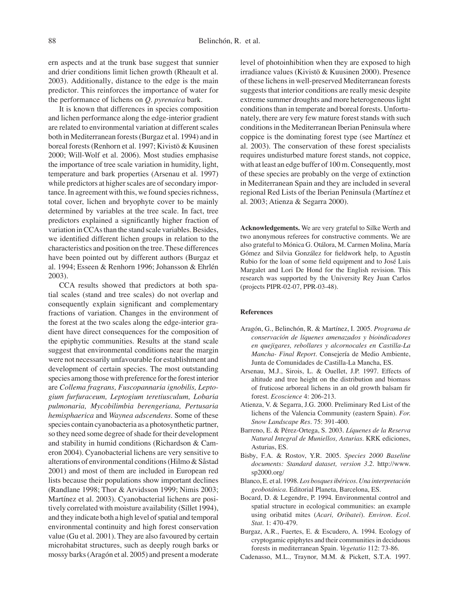ern aspects and at the trunk base suggest that sunnier and drier conditions limit lichen growth (Rheault et al. 2003). Additionally, distance to the edge is the main predictor. This reinforces the importance of water for the performance of lichens on *Q. pyrenaica* bark.

 It is known that differences in species composition and lichen performance along the edge-interior gradient are related to environmental variation at different scales both in Mediterranean forests (Burgaz et al. 1994) and in boreal forests (Renhorn et al. 1997; Kivistö & Kuusinen 2000; Will-Wolf et al. 2006). Most studies emphasise the importance of tree scale variation in humidity, light, temperature and bark properties (Arsenau et al. 1997) while predictors at higher scales are of secondary importance. In agreement with this, we found species richness, total cover, lichen and bryophyte cover to be mainly determined by variables at the tree scale. In fact, tree predictors explained a significantly higher fraction of variation in CCAs than the stand scale variables. Besides, we identified different lichen groups in relation to the characteristics and position on the tree. These differences have been pointed out by different authors (Burgaz et al. 1994; Esseen & Renhorn 1996; Johansson & Ehrlén 2003).

 CCA results showed that predictors at both spatial scales (stand and tree scales) do not overlap and consequently explain significant and complementary fractions of variation. Changes in the environment of the forest at the two scales along the edge-interior gradient have direct consequences for the composition of the epiphytic communities. Results at the stand scale suggest that environmental conditions near the margin were not necessarily unfavourable for establishment and development of certain species. The most outstanding species among those with preference for the forest interior are *Collema fragrans, Fuscopannaria ignobilis, Leptogium furfuraceum, Leptogium teretiusculum, Lobaria pulmonaria, Mycobilimbia berengeriana, Pertusaria hemisphaerica* and *Waynea adscendens*. Some of these species contain cyanobacteria as a photosynthetic partner, so they need some degree of shade for their development and stability in humid conditions (Richardson & Cameron 2004). Cyanobacterial lichens are very sensitive to alterations of environmental conditions (Hilmo & Såstad 2001) and most of them are included in European red lists because their populations show important declines (Randlane 1998; Thor & Arvidsson 1999; Nimis 2003; Martínez et al. 2003). Cyanobacterial lichens are positively correlated with moisture availability (Sillet 1994), and they indicate both a high level of spatial and temporal environmental continuity and high forest conservation value (Gu et al. 2001). They are also favoured by certain microhabitat structures, such as deeply rough barks or mossy barks (Aragón et al. 2005) and present a moderate level of photoinhibition when they are exposed to high irradiance values (Kivistö & Kuusinen 2000). Presence of these lichens in well-preserved Mediterranean forests suggests that interior conditions are really mesic despite extreme summer droughts and more heterogeneous light conditions than in temperate and boreal forests. Unfortunately, there are very few mature forest stands with such conditions in the Mediterranean Iberian Peninsula where coppice is the dominating forest type (see Martínez et al. 2003). The conservation of these forest specialists requires undisturbed mature forest stands, not coppice, with at least an edge buffer of 100 m. Consequently, most of these species are probably on the verge of extinction in Mediterranean Spain and they are included in several regional Red Lists of the Iberian Peninsula (Martínez et al. 2003; Atienza & Segarra 2000).

**Acknowledgements.** We are very grateful to Silke Werth and two anonymous referees for constructive comments. We are also grateful to Mónica G. Otálora, M. Carmen Molina, María Gómez and Silvia González for fieldwork help, to Agustín Rubio for the loan of some field equipment and to José Luis Margalet and Lori De Hond for the English revision. This research was supported by the University Rey Juan Carlos (projects PIPR-02-07, PPR-03-48).

#### **References**

- Aragón, G., Belinchón, R. & Martínez, I. 2005. *Programa de conservación de líquenes amenazados y bioindicadores en quejigares, rebollares y alcornocales en Castilla-La Mancha- Final Report.* Consejería de Medio Ambiente, Junta de Comunidades de Castilla-La Mancha, ES.
- Arsenau, M.J., Sirois, L. & Ouellet, J.P. 1997. Effects of altitude and tree height on the distribution and biomass of fruticose arboreal lichens in an old growth balsam fir forest. *Ecoscience* 4: 206-213.
- Atienza, V. & Segarra, J.G. 2000. Preliminary Red List of the lichens of the Valencia Community (eastern Spain). *For. Snow Landscape Res*. 75: 391-400.
- Barreno, E. & Pérez-Ortega, S. 2003. *Líquenes de la Reserva Natural Integral de Muniellos, Asturias.* KRK ediciones, Asturias, ES.
- Bisby, F.A. & Rostov, Y.R. 2005. *Species 2000 Baseline documents: Standard dataset, version 3.2*. http://www. sp2000.org/
- Blanco, E. et al. 1998. *Los bosques ibéricos. Una interpretación geobotánica*. Editorial Planeta, Barcelona, ES.
- Bocard, D. & Legendre, P. 1994. Environmental control and spatial structure in ecological communities: an example using oribatid mites (*Acari, Oribatei*). *Environ. Ecol. Stat.* 1: 470-479.
- Burgaz, A.R., Fuertes, E. & Escudero, A. 1994. Ecology of cryptogamic epiphytes and their communities in deciduous forests in mediterranean Spain. *Vegetatio* 112: 73-86.
- Cadenasso, M.L., Traynor, M.M. & Pickett, S.T.A. 1997.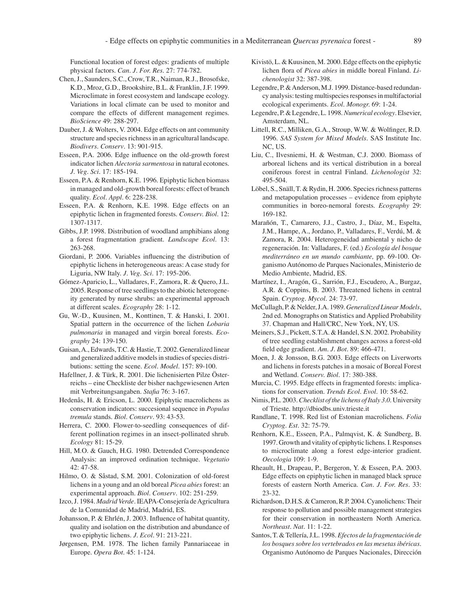Functional location of forest edges: gradients of multiple physical factors. *Can. J. For. Res.* 27: 774-782.

- Chen, J., Saunders, S.C., Crow, T.R., Naiman, R.J., Brosofske, K.D., Mroz, G.D., Brookshire, B.L. & Franklin, J.F. 1999. Microclimate in forest ecosystem and landscape ecology. Variations in local climate can be used to monitor and compare the effects of different management regimes. *BioScience* 49: 288-297.
- Dauber, J. & Wolters, V. 2004. Edge effects on ant community structure and species richness in an agricultural landscape. *Biodivers. Conserv*. 13: 901-915.
- Esseen, P.A. 2006. Edge influence on the old-growth forest indicator lichen *Alectoria sarmentosa* in natural ecotones. *J. Veg. Sci.* 17: 185-194.
- Esseen, P.A. & Renhorn, K.E. 1996. Epiphytic lichen biomass in managed and old-growth boreal forests: effect of branch quality. *Ecol. Appl.* 6: 228-238.
- Esseen, P.A. & Renhorn, K.E. 1998. Edge effects on an epiphytic lichen in fragmented forests. *Conserv. Biol.* 12: 1307-1317.
- Gibbs, J.P. 1998. Distribution of woodland amphibians along a forest fragmentation gradient. *Landscape Ecol*. 13: 263-268.
- Giordani, P. 2006. Variables influencing the distribution of epiphytic lichens in heterogeneous areas: A case study for Liguria, NW Italy. *J. Veg. Sci.* 17: 195-206.
- Gómez-Aparicio, L., Valladares, F., Zamora, R. & Quero, J.L. 2005. Response of tree seedlings to the abiotic heterogeneity generated by nurse shrubs: an experimental approach at different scales. *Ecography* 28: 1-12.
- Gu, W.-D., Kuusinen, M., Konttinen, T. & Hanski, I. 2001. Spatial pattern in the occurrence of the lichen *Lobaria pulmonaria* in managed and virgin boreal forests. *Ecography* 24: 139-150.
- Guisan, A., Edwards, T.C. & Hastie, T. 2002. Generalized linear and generalized additive models in studies of species distributions: setting the scene. *Ecol. Model.* 157: 89-100.
- Hafellner, J. & Türk, R. 2001. Die lichenisierten Pilze Österreichs – eine Checkliste der bisher nachgewiesenen Arten mit Verbreitungsangaben. *Stafia* 76: 3-167.
- Hedenås, H. & Ericson, L. 2000. Epiphytic macrolichens as conservation indicators: succesional sequence in *Populus tremula* stands. *Biol. Conserv*. 93: 43-53.
- Herrera, C. 2000. Flower-to-seedling consequences of different pollination regimes in an insect-pollinated shrub. *Ecology* 81: 15-29.
- Hill, M.O. & Gauch, H.G. 1980. Detrended Correspondence Analysis: an improved ordination technique. *Vegetatio* 42: 47-58.
- Hilmo, O. & Såstad, S.M. 2001. Colonization of old-forest lichens in a young and an old boreal *Picea abies* forest: an experimental approach. *Biol. Conserv*. 102: 251-259.
- Izco, J. 1984. *Madrid Verde*. IEAPA-Consejería de Agricultura de la Comunidad de Madrid, Madrid, ES.
- Johansson, P. & Ehrlén, J. 2003. Influence of habitat quantity, quality and isolation on the distribution and abundance of two epiphytic lichens*. J. Ecol.* 91: 213-221.
- Jørgensen, P.M. 1978. The lichen family Pannariaceae in Europe. *Opera Bot.* 45: 1-124.
- Kivistö, L. & Kuusinen, M. 2000. Edge effects on the epiphytic lichen flora of *Picea abies* in middle boreal Finland. *Lichenologist* 32: 387-398.
- Legendre, P. & Anderson, M.J. 1999. Distance-based redundancy analysis: testing multispecies responses in multifactorial ecological experiments. *Ecol. Monogr.* 69: 1-24.
- Legendre, P. & Legendre, L. 1998. *Numerical ecology*. Elsevier, Amsterdam, NL.
- Littell, R.C., Milliken, G.A., Stroup, W.W. & Wolfinger, R.D. 1996. *SAS System for Mixed Models.* SAS Institute Inc. NC, US.
- Liu, C., Ilvesniemi, H. & Westman, C.J. 2000. Biomass of arboreal lichens and its vertical distribution in a boreal coniferous forest in central Finland. *Lichenologist* 32: 495-504.
- Löbel, S., Snäll, T. & Rydin, H. 2006. Species richness patterns and metapopulation processes – evidence from epiphyte communities in boreo-nemoral forests. *Ecography* 29: 169-182.
- Marañón, T., Camarero, J.J., Castro, J., Díaz, M., Espelta, J.M., Hampe, A., Jordano, P., Valladares, F., Verdú, M. & Zamora, R. 2004. Heterogeneidad ambiental y nicho de regeneración. In: Valladares, F. (ed.) *Ecología del bosque mediterráneo en un mundo cambiante,* pp. 69-100. Organismo Autónomo de Parques Nacionales, Ministerio de Medio Ambiente, Madrid, ES.
- Martínez, I., Aragón, G., Sarrión, F.J., Escudero, A., Burgaz, A.R. & Coppins, B. 2003. Threatened lichens in central Spain. *Cryptog. Mycol.* 24: 73-97.
- McCullagh, P. & Nelder, J.A. 1989. *Generalized Linear Models*, 2nd ed. Monographs on Statistics and Applied Probability 37. Chapman and Hall/CRC, New York, NY, US.
- Meiners, S.J., Pickett, S.T.A. & Handel, S.N. 2002. Probability of tree seedling establishment changes across a forest-old field edge gradient. *Am. J. Bot.* 89: 466-471.
- Moen, J. & Jonsson, B.G. 2003. Edge effects on Liverworts and lichens in forests patches in a mosaic of Boreal Forest and Wetland. *Conserv. Biol.* 17: 380-388.
- Murcia, C. 1995. Edge effects in fragmented forests: implications for conservation. *Trends Ecol. Evol.* 10: 58-62.
- Nimis, P.L. 2003. *Checklist of the lichens of Italy 3.0.* University of Trieste. http://dbiodbs.univ.trieste.it
- Randlane, T. 1998. Red list of Estonian macrolichens. *Folia Cryptog. Est.* 32: 75-79.
- Renhorn, K.E., Esseen, P.A., Palmqvist, K. & Sundberg, B. 1997. Growth and vitality of epiphytic lichens. I. Responses to microclimate along a forest edge-interior gradient. *Oecologia* 109: 1-9.
- Rheault, H., Drapeau, P., Bergeron, Y. & Esseen, P.A. 2003. Edge effects on epiphytic lichen in managed black spruce forests of eastern North America. *Can. J. For. Res.* 33: 23-32.
- Richardson, D.H.S. & Cameron, R.P. 2004. Cyanolichens: Their response to pollution and possible management strategies for their conservation in northeastern North America. *Northeast. Nat.* 11: 1-22.
- Santos, T. & Tellería, J.L. 1998. *Efectos de la fragmentación de los bosques sobre los vertebrados en las mesetas ibéricas*. Organismo Autónomo de Parques Nacionales, Dirección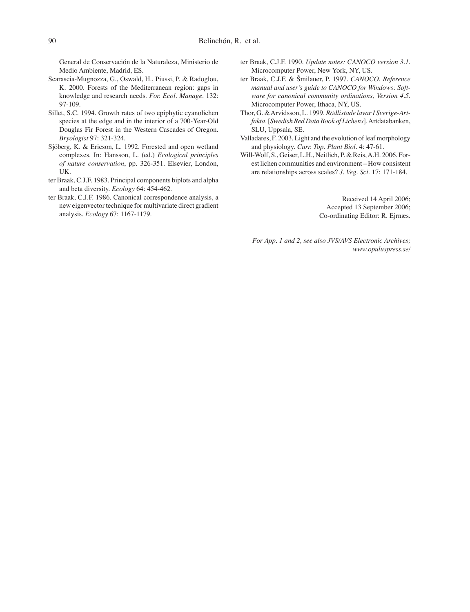General de Conservación de la Naturaleza, Ministerio de Medio Ambiente, Madrid, ES.

- Scarascia-Mugnozza, G., Oswald, H., Piussi, P. & Radoglou, K. 2000. Forests of the Mediterranean region: gaps in knowledge and research needs. *For. Ecol. Manage*. 132: 97-109.
- Sillet, S.C. 1994. Growth rates of two epiphytic cyanolichen species at the edge and in the interior of a 700-Year-Old Douglas Fir Forest in the Western Cascades of Oregon. *Bryologist* 97: 321-324.
- Sjöberg, K. & Ericson, L. 1992. Forested and open wetland complexes. In: Hansson, L. (ed.) *Ecological principles of nature conservation*, pp. 326-351. Elsevier, London, UK.
- ter Braak, C.J.F. 1983. Principal components biplots and alpha and beta diversity. *Ecology* 64: 454-462.
- ter Braak, C.J.F. 1986. Canonical correspondence analysis, a new eigenvector technique for multivariate direct gradient analysis. *Ecology* 67: 1167-1179.
- ter Braak, C.J.F. 1990. *Update notes: CANOCO version 3.1.* Microcomputer Power, New York, NY, US.
- ter Braak, C.J.F. & Šmilauer, P. 1997*. CANOCO. Reference manual and user's guide to CANOCO for Windows: Software for canonical community ordinations, Version 4.5.* Microcomputer Power, Ithaca, NY, US.
- Thor, G. & Arvidsson, L. 1999. *Rödlistade lavar I Sverige-Artfakta.* [*Swedish Red Data Book of Lichens*]*.* Artdatabanken, SLU, Uppsala, SE.
- Valladares, F. 2003. Light and the evolution of leaf morphology and physiology. *Curr. Top. Plant Biol.* 4: 47-61.
- Will-Wolf, S., Geiser, L.H., Neitlich, P. & Reis, A.H. 2006. Forest lichen communities and environment – How consistent are relationships across scales? *J. Veg. Sci.* 17: 171-184.

Received 14 April 2006; Accepted 13 September 2006; Co-ordinating Editor: R. Ejrnæs.

*For App. 1 and 2, see also JVS/AVS Electronic Archives; www.opuluspress.se/*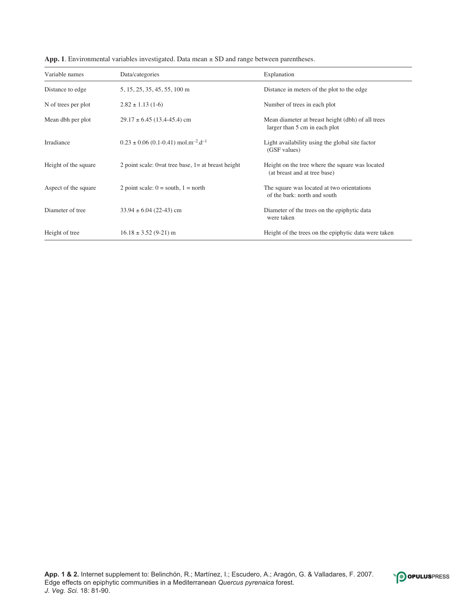| Variable names       | Data/categories                                                 | Explanation                                                                        |
|----------------------|-----------------------------------------------------------------|------------------------------------------------------------------------------------|
| Distance to edge     | 5, 15, 25, 35, 45, 55, 100 m                                    | Distance in meters of the plot to the edge                                         |
| N of trees per plot  | $2.82 \pm 1.13$ (1-6)                                           | Number of trees in each plot                                                       |
| Mean dbh per plot    | $29.17 \pm 6.45$ (13.4-45.4) cm                                 | Mean diameter at breast height (dbh) of all trees<br>larger than 5 cm in each plot |
| <b>Irradiance</b>    | $0.23 \pm 0.06$ (0.1-0.41) mol.m <sup>-2</sup> .d <sup>-1</sup> | Light availability using the global site factor<br>(GSF values)                    |
| Height of the square | 2 point scale: $0=at$ tree base, $1=at$ breast height           | Height on the tree where the square was located<br>(at breast and at tree base)    |
| Aspect of the square | 2 point scale: $0 = \text{south}, 1 = \text{north}$             | The square was located at two orientations<br>of the bark: north and south         |
| Diameter of tree     | $33.94 \pm 6.04$ (22-43) cm                                     | Diameter of the trees on the epiphytic data<br>were taken                          |
| Height of tree       | $16.18 \pm 3.52$ (9-21) m                                       | Height of the trees on the epiphytic data were taken                               |

App. 1. Environmental variables investigated. Data mean  $\pm$  SD and range between parentheses.